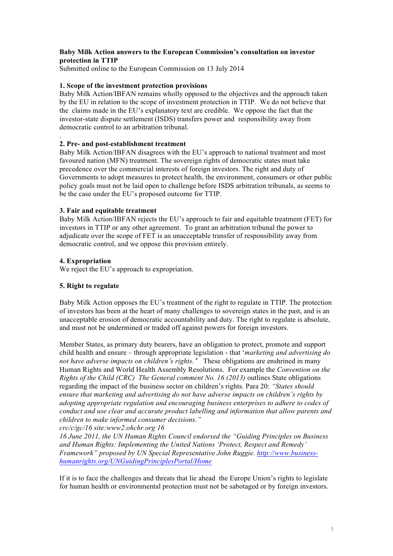# **Baby Milk Action answers to the European Commission's consultation on investor protection in TTIP**

Submitted online to the European Commission on 13 July 2014

# **1. Scope of the investment protection provisions**

Baby Milk Action/IBFAN remains wholly opposed to the objectives and the approach taken by the EU in relation to the scope of investment protection in TTIP. We do not believe that the claims made in the EU's explanatory text are credible. We oppose the fact that the investor-state dispute settlement (ISDS) transfers power and responsibility away from democratic control to an arbitration tribunal.

# **2. Pre- and post-establishment treatment**

Baby Milk Action/IBFAN disagrees with the EU's approach to national treatment and most favoured nation (MFN) treatment. The sovereign rights of democratic states must take precedence over the commercial interests of foreign investors. The right and duty of Governments to adopt measures to protect health, the environment, consumers or other public policy goals must not be laid open to challenge before ISDS arbitration tribunals, as seems to be the case under the EU's proposed outcome for TTIP.

# **3. Fair and equitable treatment**

Baby Milk Action/IBFAN rejects the EU's approach to fair and equitable treatment (FET) for investors in TTIP or any other agreement. To grant an arbitration tribunal the power to adjudicate over the scope of FET is an unacceptable transfer of responsibility away from democratic control, and we oppose this provision entirely.

# **4. Expropriation**

.

We reject the EU's approach to expropriation.

# **5. Right to regulate**

Baby Milk Action opposes the EU's treatment of the right to regulate in TTIP. The protection of investors has been at the heart of many challenges to sovereign states in the past, and is an unacceptable erosion of democratic accountability and duty. The right to regulate is absolute, and must not be undermined or traded off against powers for foreign investors.

Member States, as primary duty bearers, have an obligation to protect, promote and support child health and ensure – through appropriate legislation - that '*marketing and advertising do*  not have adverse impacts on children's rights.<sup>3</sup> These obligations are enshrined in many Human Rights and World Health Assembly Resolutions. For example the *Convention on the Rights of the Child (CRC) The General comment No. 16 (2013)* outlines State obligations regarding the impact of the business sector on children's rights*.* Para 20: *"States should ensure that marketing and advertising do not have adverse impacts on children's rights by adopting appropriate regulation and encouraging business enterprises to adhere to codes of conduct and use clear and accurate product labelling and information that allow parents and children to make informed consumer decisions."*

*crc/c/gc/16 site:www2.ohchr.org 16*

*16 June 2011, the UN Human Rights Council endorsed the "Guiding Principles on Business and Human Rights: Implementing the United Nations 'Protect, Respect and Remedy' Framework" proposed by UN Special Representative John Ruggie. http://www.businesshumanrights.org/UNGuidingPrinciplesPortal/Home*

If it is to face the challenges and threats that lie ahead the Europe Union's rights to legislate for human health or environmental protection must not be sabotaged or by foreign investors.